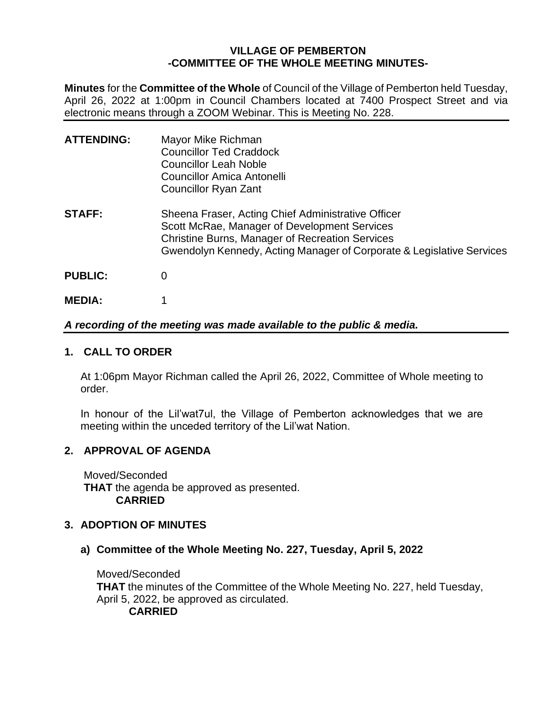# **VILLAGE OF PEMBERTON -COMMITTEE OF THE WHOLE MEETING MINUTES-**

**Minutes** for the **Committee of the Whole** of Council of the Village of Pemberton held Tuesday, April 26, 2022 at 1:00pm in Council Chambers located at 7400 Prospect Street and via electronic means through a ZOOM Webinar. This is Meeting No. 228.

| <b>ATTENDING:</b> | Mayor Mike Richman<br><b>Councillor Ted Craddock</b><br><b>Councillor Leah Noble</b><br><b>Councillor Amica Antonelli</b><br>Councillor Ryan Zant                                                                                     |
|-------------------|---------------------------------------------------------------------------------------------------------------------------------------------------------------------------------------------------------------------------------------|
| <b>STAFF:</b>     | Sheena Fraser, Acting Chief Administrative Officer<br>Scott McRae, Manager of Development Services<br><b>Christine Burns, Manager of Recreation Services</b><br>Gwendolyn Kennedy, Acting Manager of Corporate & Legislative Services |
| <b>PUBLIC:</b>    | 0                                                                                                                                                                                                                                     |
| <b>MEDIA:</b>     |                                                                                                                                                                                                                                       |

## *A recording of the meeting was made available to the public & media.*

### **1. CALL TO ORDER**

At 1:06pm Mayor Richman called the April 26, 2022, Committee of Whole meeting to order.

In honour of the Lil'wat7ul, the Village of Pemberton acknowledges that we are meeting within the unceded territory of the Lil'wat Nation.

## **2. APPROVAL OF AGENDA**

Moved/Seconded **THAT** the agenda be approved as presented. **CARRIED**

## **3. ADOPTION OF MINUTES**

**a) Committee of the Whole Meeting No. 227, Tuesday, April 5, 2022**

Moved/Seconded **THAT** the minutes of the Committee of the Whole Meeting No. 227, held Tuesday, April 5, 2022, be approved as circulated.

# **CARRIED**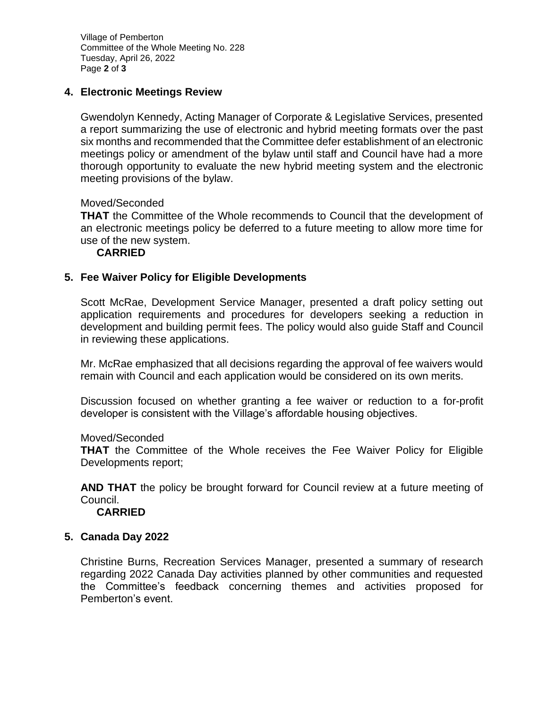Village of Pemberton Committee of the Whole Meeting No. 228 Tuesday, April 26, 2022 Page **2** of **3**

# **4. Electronic Meetings Review**

Gwendolyn Kennedy, Acting Manager of Corporate & Legislative Services, presented a report summarizing the use of electronic and hybrid meeting formats over the past six months and recommended that the Committee defer establishment of an electronic meetings policy or amendment of the bylaw until staff and Council have had a more thorough opportunity to evaluate the new hybrid meeting system and the electronic meeting provisions of the bylaw.

Moved/Seconded

**THAT** the Committee of the Whole recommends to Council that the development of an electronic meetings policy be deferred to a future meeting to allow more time for use of the new system.

## **CARRIED**

#### **5. Fee Waiver Policy for Eligible Developments**

Scott McRae, Development Service Manager, presented a draft policy setting out application requirements and procedures for developers seeking a reduction in development and building permit fees. The policy would also guide Staff and Council in reviewing these applications.

Mr. McRae emphasized that all decisions regarding the approval of fee waivers would remain with Council and each application would be considered on its own merits.

Discussion focused on whether granting a fee waiver or reduction to a for-profit developer is consistent with the Village's affordable housing objectives.

#### Moved/Seconded

**THAT** the Committee of the Whole receives the Fee Waiver Policy for Eligible Developments report;

**AND THAT** the policy be brought forward for Council review at a future meeting of Council.

**CARRIED**

#### **5. Canada Day 2022**

Christine Burns, Recreation Services Manager, presented a summary of research regarding 2022 Canada Day activities planned by other communities and requested the Committee's feedback concerning themes and activities proposed for Pemberton's event.